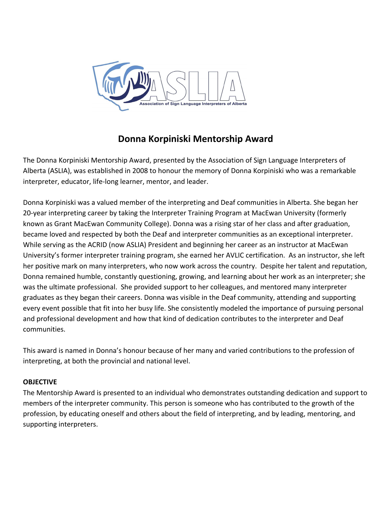

# **Donna Korpiniski Mentorship Award**

The Donna Korpiniski Mentorship Award, presented by the Association of Sign Language Interpreters of Alberta (ASLIA), was established in 2008 to honour the memory of Donna Korpiniski who was a remarkable interpreter, educator, life-long learner, mentor, and leader.

Donna Korpiniski was a valued member of the interpreting and Deaf communities in Alberta. She began her 20-year interpreting career by taking the Interpreter Training Program at MacEwan University (formerly known as Grant MacEwan Community College). Donna was a rising star of her class and after graduation, became loved and respected by both the Deaf and interpreter communities as an exceptional interpreter. While serving as the ACRID (now ASLIA) President and beginning her career as an instructor at MacEwan University's former interpreter training program, she earned her AVLIC certification. As an instructor, she left her positive mark on many interpreters, who now work across the country. Despite her talent and reputation, Donna remained humble, constantly questioning, growing, and learning about her work as an interpreter; she was the ultimate professional. She provided support to her colleagues, and mentored many interpreter graduates as they began their careers. Donna was visible in the Deaf community, attending and supporting every event possible that fit into her busy life. She consistently modeled the importance of pursuing personal and professional development and how that kind of dedication contributes to the interpreter and Deaf communities.

This award is named in Donna's honour because of her many and varied contributions to the profession of interpreting, at both the provincial and national level.

## **OBJECTIVE**

The Mentorship Award is presented to an individual who demonstrates outstanding dedication and support to members of the interpreter community. This person is someone who has contributed to the growth of the profession, by educating oneself and others about the field of interpreting, and by leading, mentoring, and supporting interpreters.